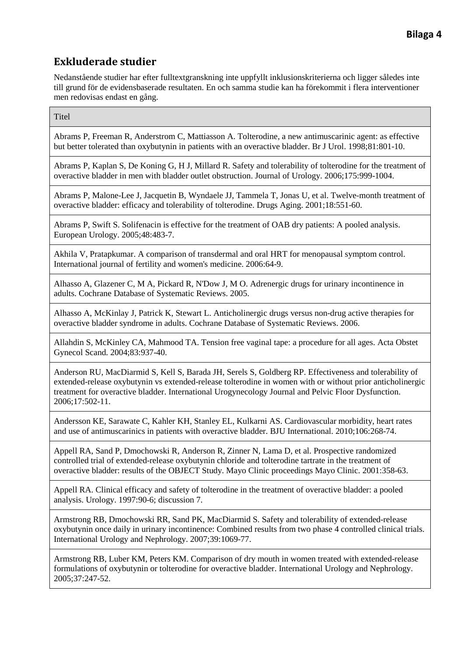Nedanstående studier har efter fulltextgranskning inte uppfyllt inklusionskriterierna och ligger således inte till grund för de evidensbaserade resultaten. En och samma studie kan ha förekommit i flera interventioner men redovisas endast en gång.

**Titel** 

Abrams P, Freeman R, Anderstrom C, Mattiasson A. Tolterodine, a new antimuscarinic agent: as effective but better tolerated than oxybutynin in patients with an overactive bladder. Br J Urol. 1998;81:801-10.

Abrams P, Kaplan S, De Koning G, H J, Millard R. Safety and tolerability of tolterodine for the treatment of overactive bladder in men with bladder outlet obstruction. Journal of Urology. 2006;175:999-1004.

Abrams P, Malone-Lee J, Jacquetin B, Wyndaele JJ, Tammela T, Jonas U, et al. Twelve-month treatment of overactive bladder: efficacy and tolerability of tolterodine. Drugs Aging. 2001;18:551-60.

Abrams P, Swift S. Solifenacin is effective for the treatment of OAB dry patients: A pooled analysis. European Urology. 2005;48:483-7.

Akhila V, Pratapkumar. A comparison of transdermal and oral HRT for menopausal symptom control. International journal of fertility and women's medicine. 2006:64-9.

Alhasso A, Glazener C, M A, Pickard R, N'Dow J, M O. Adrenergic drugs for urinary incontinence in adults. Cochrane Database of Systematic Reviews. 2005.

Alhasso A, McKinlay J, Patrick K, Stewart L. Anticholinergic drugs versus non-drug active therapies for overactive bladder syndrome in adults. Cochrane Database of Systematic Reviews. 2006.

Allahdin S, McKinley CA, Mahmood TA. Tension free vaginal tape: a procedure for all ages. Acta Obstet Gynecol Scand. 2004;83:937-40.

Anderson RU, MacDiarmid S, Kell S, Barada JH, Serels S, Goldberg RP. Effectiveness and tolerability of extended-release oxybutynin vs extended-release tolterodine in women with or without prior anticholinergic treatment for overactive bladder. International Urogynecology Journal and Pelvic Floor Dysfunction. 2006;17:502-11.

Andersson KE, Sarawate C, Kahler KH, Stanley EL, Kulkarni AS. Cardiovascular morbidity, heart rates and use of antimuscarinics in patients with overactive bladder. BJU International. 2010;106:268-74.

Appell RA, Sand P, Dmochowski R, Anderson R, Zinner N, Lama D, et al. Prospective randomized controlled trial of extended-release oxybutynin chloride and tolterodine tartrate in the treatment of overactive bladder: results of the OBJECT Study. Mayo Clinic proceedings Mayo Clinic. 2001:358-63.

Appell RA. Clinical efficacy and safety of tolterodine in the treatment of overactive bladder: a pooled analysis. Urology. 1997:90-6; discussion 7.

Armstrong RB, Dmochowski RR, Sand PK, MacDiarmid S. Safety and tolerability of extended-release oxybutynin once daily in urinary incontinence: Combined results from two phase 4 controlled clinical trials. International Urology and Nephrology. 2007;39:1069-77.

Armstrong RB, Luber KM, Peters KM. Comparison of dry mouth in women treated with extended-release formulations of oxybutynin or tolterodine for overactive bladder. International Urology and Nephrology. 2005;37:247-52.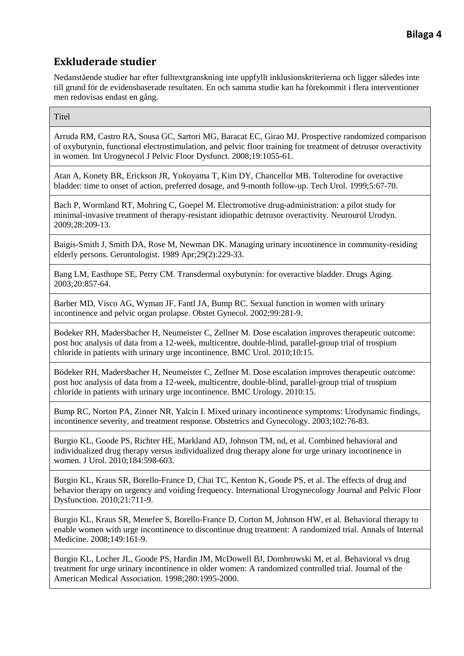Nedanstående studier har efter fulltextgranskning inte uppfyllt inklusionskriterierna och ligger således inte till grund för de evidensbaserade resultaten. En och samma studie kan ha förekommit i flera interventioner men redovisas endast en gång.

**Titel** 

Arruda RM, Castro RA, Sousa GC, Sartori MG, Baracat EC, Girao MJ. Prospective randomized comparison of oxybutynin, functional electrostimulation, and pelvic floor training for treatment of detrusor overactivity in women. Int Urogynecol J Pelvic Floor Dysfunct. 2008;19:1055-61.

Atan A, Konety BR, Erickson JR, Yokoyama T, Kim DY, Chancellor MB. Tolterodine for overactive bladder: time to onset of action, preferred dosage, and 9-month follow-up. Tech Urol. 1999;5:67-70.

Bach P, Wormland RT, Mohring C, Goepel M. Electromotive drug-administration: a pilot study for minimal-invasive treatment of therapy-resistant idiopathic detrusor overactivity. Neurourol Urodyn. 2009;28:209-13.

Baigis-Smith J, Smith DA, Rose M, Newman DK. Managing urinary incontinence in community-residing elderly persons. Gerontologist. 1989 Apr;29(2):229-33.

Bang LM, Easthope SE, Perry CM. Transdermal oxybutynin: for overactive bladder. Drugs Aging. 2003;20:857-64.

Barber MD, Visco AG, Wyman JF, Fantl JA, Bump RC. Sexual function in women with urinary incontinence and pelvic organ prolapse. Obstet Gynecol. 2002;99:281-9.

Bodeker RH, Madersbacher H, Neumeister C, Zellner M. Dose escalation improves therapeutic outcome: post hoc analysis of data from a 12-week, multicentre, double-blind, parallel-group trial of trospium chloride in patients with urinary urge incontinence. BMC Urol. 2010;10:15.

Bödeker RH, Madersbacher H, Neumeister C, Zellner M. Dose escalation improves therapeutic outcome: post hoc analysis of data from a 12-week, multicentre, double-blind, parallel-group trial of trospium chloride in patients with urinary urge incontinence. BMC Urology. 2010:15.

Bump RC, Norton PA, Zinner NR, Yalcin I. Mixed urinary incontinence symptoms: Urodynamic findings, incontinence severity, and treatment response. Obstetrics and Gynecology. 2003;102:76-83.

Burgio KL, Goode PS, Richter HE, Markland AD, Johnson TM, nd, et al. Combined behavioral and individualized drug therapy versus individualized drug therapy alone for urge urinary incontinence in women. J Urol. 2010;184:598-603.

Burgio KL, Kraus SR, Borello-France D, Chai TC, Kenton K, Goode PS, et al. The effects of drug and behavior therapy on urgency and voiding frequency. International Urogynecology Journal and Pelvic Floor Dysfunction. 2010;21:711-9.

Burgio KL, Kraus SR, Menefee S, Borello-France D, Corton M, Johnson HW, et al. Behavioral therapy to enable women with urge incontinence to discontinue drug treatment: A randomized trial. Annals of Internal Medicine. 2008;149:161-9.

Burgio KL, Locher JL, Goode PS, Hardin JM, McDowell BJ, Dombrowski M, et al. Behavioral vs drug treatment for urge urinary incontinence in older women: A randomized controlled trial. Journal of the American Medical Association. 1998;280:1995-2000.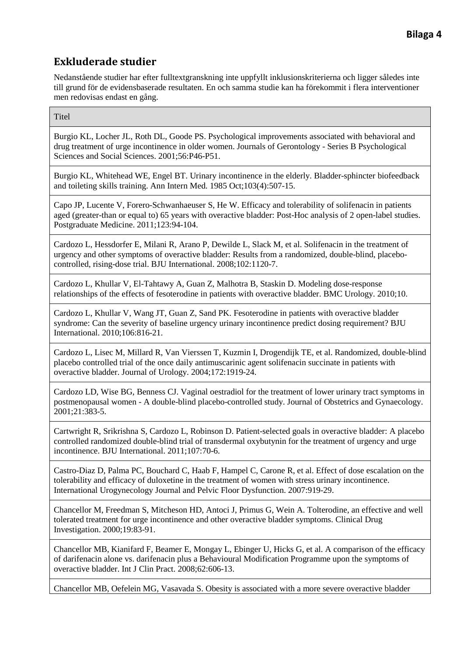Nedanstående studier har efter fulltextgranskning inte uppfyllt inklusionskriterierna och ligger således inte till grund för de evidensbaserade resultaten. En och samma studie kan ha förekommit i flera interventioner men redovisas endast en gång.

**Titel** 

Burgio KL, Locher JL, Roth DL, Goode PS. Psychological improvements associated with behavioral and drug treatment of urge incontinence in older women. Journals of Gerontology - Series B Psychological Sciences and Social Sciences. 2001;56:P46-P51.

Burgio KL, Whitehead WE, Engel BT. Urinary incontinence in the elderly. Bladder-sphincter biofeedback and toileting skills training. Ann Intern Med. 1985 Oct;103(4):507-15.

Capo JP, Lucente V, Forero-Schwanhaeuser S, He W. Efficacy and tolerability of solifenacin in patients aged (greater-than or equal to) 65 years with overactive bladder: Post-Hoc analysis of 2 open-label studies. Postgraduate Medicine. 2011;123:94-104.

Cardozo L, Hessdorfer E, Milani R, Arano P, Dewilde L, Slack M, et al. Solifenacin in the treatment of urgency and other symptoms of overactive bladder: Results from a randomized, double-blind, placebocontrolled, rising-dose trial. BJU International. 2008;102:1120-7.

Cardozo L, Khullar V, El-Tahtawy A, Guan Z, Malhotra B, Staskin D. Modeling dose-response relationships of the effects of fesoterodine in patients with overactive bladder. BMC Urology. 2010;10.

Cardozo L, Khullar V, Wang JT, Guan Z, Sand PK. Fesoterodine in patients with overactive bladder syndrome: Can the severity of baseline urgency urinary incontinence predict dosing requirement? BJU International. 2010;106:816-21.

Cardozo L, Lisec M, Millard R, Van Vierssen T, Kuzmin I, Drogendijk TE, et al. Randomized, double-blind placebo controlled trial of the once daily antimuscarinic agent solifenacin succinate in patients with overactive bladder. Journal of Urology. 2004;172:1919-24.

Cardozo LD, Wise BG, Benness CJ. Vaginal oestradiol for the treatment of lower urinary tract symptoms in postmenopausal women - A double-blind placebo-controlled study. Journal of Obstetrics and Gynaecology. 2001;21:383-5.

Cartwright R, Srikrishna S, Cardozo L, Robinson D. Patient-selected goals in overactive bladder: A placebo controlled randomized double-blind trial of transdermal oxybutynin for the treatment of urgency and urge incontinence. BJU International. 2011;107:70-6.

Castro-Diaz D, Palma PC, Bouchard C, Haab F, Hampel C, Carone R, et al. Effect of dose escalation on the tolerability and efficacy of duloxetine in the treatment of women with stress urinary incontinence. International Urogynecology Journal and Pelvic Floor Dysfunction. 2007:919-29.

Chancellor M, Freedman S, Mitcheson HD, Antoci J, Primus G, Wein A. Tolterodine, an effective and well tolerated treatment for urge incontinence and other overactive bladder symptoms. Clinical Drug Investigation. 2000;19:83-91.

Chancellor MB, Kianifard F, Beamer E, Mongay L, Ebinger U, Hicks G, et al. A comparison of the efficacy of darifenacin alone vs. darifenacin plus a Behavioural Modification Programme upon the symptoms of overactive bladder. Int J Clin Pract. 2008;62:606-13.

Chancellor MB, Oefelein MG, Vasavada S. Obesity is associated with a more severe overactive bladder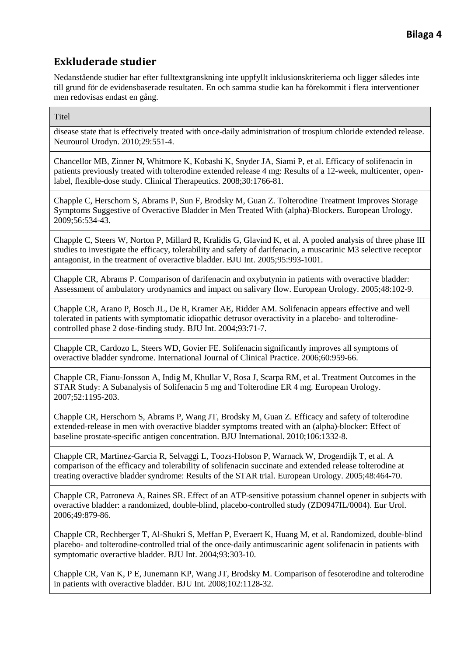Nedanstående studier har efter fulltextgranskning inte uppfyllt inklusionskriterierna och ligger således inte till grund för de evidensbaserade resultaten. En och samma studie kan ha förekommit i flera interventioner men redovisas endast en gång.

**Titel** 

disease state that is effectively treated with once-daily administration of trospium chloride extended release. Neurourol Urodyn. 2010;29:551-4.

Chancellor MB, Zinner N, Whitmore K, Kobashi K, Snyder JA, Siami P, et al. Efficacy of solifenacin in patients previously treated with tolterodine extended release 4 mg: Results of a 12-week, multicenter, openlabel, flexible-dose study. Clinical Therapeutics. 2008;30:1766-81.

Chapple C, Herschorn S, Abrams P, Sun F, Brodsky M, Guan Z. Tolterodine Treatment Improves Storage Symptoms Suggestive of Overactive Bladder in Men Treated With (alpha)-Blockers. European Urology. 2009;56:534-43.

Chapple C, Steers W, Norton P, Millard R, Kralidis G, Glavind K, et al. A pooled analysis of three phase III studies to investigate the efficacy, tolerability and safety of darifenacin, a muscarinic M3 selective receptor antagonist, in the treatment of overactive bladder. BJU Int. 2005;95:993-1001.

Chapple CR, Abrams P. Comparison of darifenacin and oxybutynin in patients with overactive bladder: Assessment of ambulatory urodynamics and impact on salivary flow. European Urology. 2005;48:102-9.

Chapple CR, Arano P, Bosch JL, De R, Kramer AE, Ridder AM. Solifenacin appears effective and well tolerated in patients with symptomatic idiopathic detrusor overactivity in a placebo- and tolterodinecontrolled phase 2 dose-finding study. BJU Int. 2004;93:71-7.

Chapple CR, Cardozo L, Steers WD, Govier FE. Solifenacin significantly improves all symptoms of overactive bladder syndrome. International Journal of Clinical Practice. 2006;60:959-66.

Chapple CR, Fianu-Jonsson A, Indig M, Khullar V, Rosa J, Scarpa RM, et al. Treatment Outcomes in the STAR Study: A Subanalysis of Solifenacin 5 mg and Tolterodine ER 4 mg. European Urology. 2007;52:1195-203.

Chapple CR, Herschorn S, Abrams P, Wang JT, Brodsky M, Guan Z. Efficacy and safety of tolterodine extended-release in men with overactive bladder symptoms treated with an (alpha)-blocker: Effect of baseline prostate-specific antigen concentration. BJU International. 2010;106:1332-8.

Chapple CR, Martinez-Garcia R, Selvaggi L, Toozs-Hobson P, Warnack W, Drogendijk T, et al. A comparison of the efficacy and tolerability of solifenacin succinate and extended release tolterodine at treating overactive bladder syndrome: Results of the STAR trial. European Urology. 2005;48:464-70.

Chapple CR, Patroneva A, Raines SR. Effect of an ATP-sensitive potassium channel opener in subjects with overactive bladder: a randomized, double-blind, placebo-controlled study (ZD0947IL/0004). Eur Urol. 2006;49:879-86.

Chapple CR, Rechberger T, Al-Shukri S, Meffan P, Everaert K, Huang M, et al. Randomized, double-blind placebo- and tolterodine-controlled trial of the once-daily antimuscarinic agent solifenacin in patients with symptomatic overactive bladder. BJU Int. 2004;93:303-10.

Chapple CR, Van K, P E, Junemann KP, Wang JT, Brodsky M. Comparison of fesoterodine and tolterodine in patients with overactive bladder. BJU Int. 2008;102:1128-32.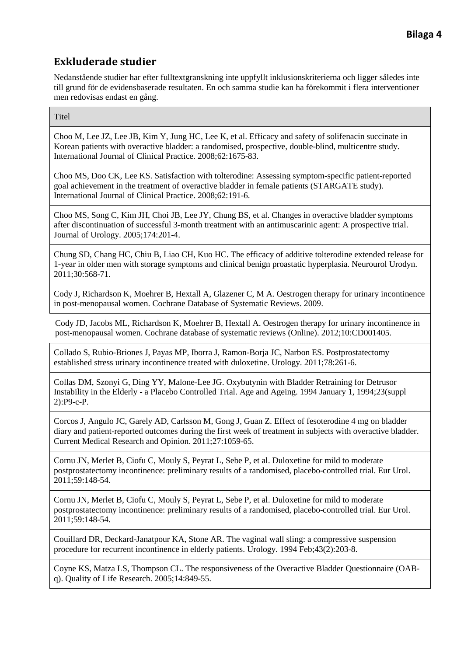Nedanstående studier har efter fulltextgranskning inte uppfyllt inklusionskriterierna och ligger således inte till grund för de evidensbaserade resultaten. En och samma studie kan ha förekommit i flera interventioner men redovisas endast en gång.

**Titel** 

Choo M, Lee JZ, Lee JB, Kim Y, Jung HC, Lee K, et al. Efficacy and safety of solifenacin succinate in Korean patients with overactive bladder: a randomised, prospective, double-blind, multicentre study. International Journal of Clinical Practice. 2008;62:1675-83.

Choo MS, Doo CK, Lee KS. Satisfaction with tolterodine: Assessing symptom-specific patient-reported goal achievement in the treatment of overactive bladder in female patients (STARGATE study). International Journal of Clinical Practice. 2008;62:191-6.

Choo MS, Song C, Kim JH, Choi JB, Lee JY, Chung BS, et al. Changes in overactive bladder symptoms after discontinuation of successful 3-month treatment with an antimuscarinic agent: A prospective trial. Journal of Urology. 2005;174:201-4.

Chung SD, Chang HC, Chiu B, Liao CH, Kuo HC. The efficacy of additive tolterodine extended release for 1-year in older men with storage symptoms and clinical benign proastatic hyperplasia. Neurourol Urodyn. 2011;30:568-71.

Cody J, Richardson K, Moehrer B, Hextall A, Glazener C, M A. Oestrogen therapy for urinary incontinence in post-menopausal women. Cochrane Database of Systematic Reviews. 2009.

Cody JD, Jacobs ML, Richardson K, Moehrer B, Hextall A. Oestrogen therapy for urinary incontinence in post-menopausal women. Cochrane database of systematic reviews (Online). 2012;10:CD001405.

Collado S, Rubio-Briones J, Payas MP, Iborra J, Ramon-Borja JC, Narbon ES. Postprostatectomy established stress urinary incontinence treated with duloxetine. Urology. 2011;78:261-6.

Collas DM, Szonyi G, Ding YY, Malone-Lee JG. Oxybutynin with Bladder Retraining for Detrusor Instability in the Elderly - a Placebo Controlled Trial. Age and Ageing. 1994 January 1, 1994;23(suppl 2):P9-c-P.

Corcos J, Angulo JC, Garely AD, Carlsson M, Gong J, Guan Z. Effect of fesoterodine 4 mg on bladder diary and patient-reported outcomes during the first week of treatment in subjects with overactive bladder. Current Medical Research and Opinion. 2011;27:1059-65.

Cornu JN, Merlet B, Ciofu C, Mouly S, Peyrat L, Sebe P, et al. Duloxetine for mild to moderate postprostatectomy incontinence: preliminary results of a randomised, placebo-controlled trial. Eur Urol. 2011;59:148-54.

Cornu JN, Merlet B, Ciofu C, Mouly S, Peyrat L, Sebe P, et al. Duloxetine for mild to moderate postprostatectomy incontinence: preliminary results of a randomised, placebo-controlled trial. Eur Urol. 2011;59:148-54.

Couillard DR, Deckard-Janatpour KA, Stone AR. The vaginal wall sling: a compressive suspension procedure for recurrent incontinence in elderly patients. Urology. 1994 Feb;43(2):203-8.

Coyne KS, Matza LS, Thompson CL. The responsiveness of the Overactive Bladder Questionnaire (OABq). Quality of Life Research. 2005;14:849-55.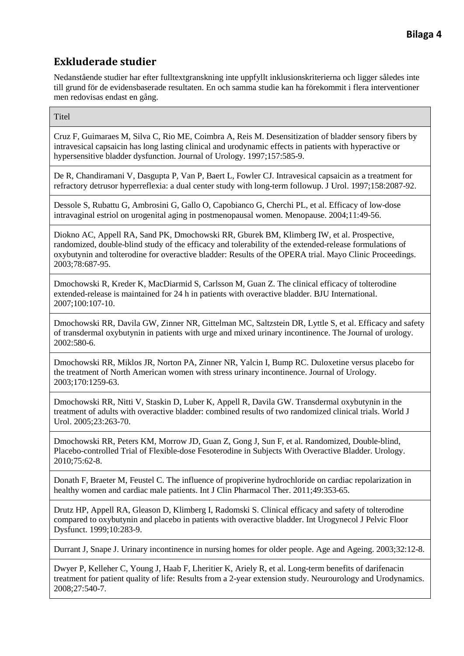Nedanstående studier har efter fulltextgranskning inte uppfyllt inklusionskriterierna och ligger således inte till grund för de evidensbaserade resultaten. En och samma studie kan ha förekommit i flera interventioner men redovisas endast en gång.

**Titel** 

Cruz F, Guimaraes M, Silva C, Rio ME, Coimbra A, Reis M. Desensitization of bladder sensory fibers by intravesical capsaicin has long lasting clinical and urodynamic effects in patients with hyperactive or hypersensitive bladder dysfunction. Journal of Urology. 1997;157:585-9.

De R, Chandiramani V, Dasgupta P, Van P, Baert L, Fowler CJ. Intravesical capsaicin as a treatment for refractory detrusor hyperreflexia: a dual center study with long-term followup. J Urol. 1997;158:2087-92.

Dessole S, Rubattu G, Ambrosini G, Gallo O, Capobianco G, Cherchi PL, et al. Efficacy of low-dose intravaginal estriol on urogenital aging in postmenopausal women. Menopause. 2004;11:49-56.

Diokno AC, Appell RA, Sand PK, Dmochowski RR, Gburek BM, Klimberg IW, et al. Prospective, randomized, double-blind study of the efficacy and tolerability of the extended-release formulations of oxybutynin and tolterodine for overactive bladder: Results of the OPERA trial. Mayo Clinic Proceedings. 2003;78:687-95.

Dmochowski R, Kreder K, MacDiarmid S, Carlsson M, Guan Z. The clinical efficacy of tolterodine extended-release is maintained for 24 h in patients with overactive bladder. BJU International. 2007;100:107-10.

Dmochowski RR, Davila GW, Zinner NR, Gittelman MC, Saltzstein DR, Lyttle S, et al. Efficacy and safety of transdermal oxybutynin in patients with urge and mixed urinary incontinence. The Journal of urology. 2002:580-6.

Dmochowski RR, Miklos JR, Norton PA, Zinner NR, Yalcin I, Bump RC. Duloxetine versus placebo for the treatment of North American women with stress urinary incontinence. Journal of Urology. 2003;170:1259-63.

Dmochowski RR, Nitti V, Staskin D, Luber K, Appell R, Davila GW. Transdermal oxybutynin in the treatment of adults with overactive bladder: combined results of two randomized clinical trials. World J Urol. 2005;23:263-70.

Dmochowski RR, Peters KM, Morrow JD, Guan Z, Gong J, Sun F, et al. Randomized, Double-blind, Placebo-controlled Trial of Flexible-dose Fesoterodine in Subjects With Overactive Bladder. Urology. 2010;75:62-8.

Donath F, Braeter M, Feustel C. The influence of propiverine hydrochloride on cardiac repolarization in healthy women and cardiac male patients. Int J Clin Pharmacol Ther. 2011;49:353-65.

Drutz HP, Appell RA, Gleason D, Klimberg I, Radomski S. Clinical efficacy and safety of tolterodine compared to oxybutynin and placebo in patients with overactive bladder. Int Urogynecol J Pelvic Floor Dysfunct. 1999;10:283-9.

Durrant J, Snape J. Urinary incontinence in nursing homes for older people. Age and Ageing. 2003;32:12-8.

Dwyer P, Kelleher C, Young J, Haab F, Lheritier K, Ariely R, et al. Long-term benefits of darifenacin treatment for patient quality of life: Results from a 2-year extension study. Neurourology and Urodynamics. 2008;27:540-7.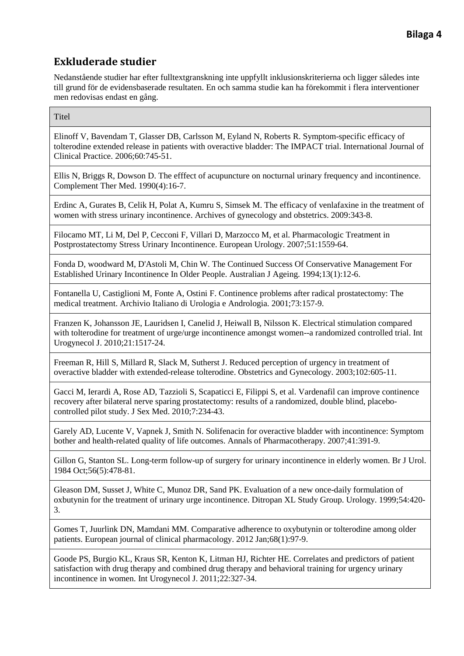Nedanstående studier har efter fulltextgranskning inte uppfyllt inklusionskriterierna och ligger således inte till grund för de evidensbaserade resultaten. En och samma studie kan ha förekommit i flera interventioner men redovisas endast en gång.

**Titel** 

Elinoff V, Bavendam T, Glasser DB, Carlsson M, Eyland N, Roberts R. Symptom-specific efficacy of tolterodine extended release in patients with overactive bladder: The IMPACT trial. International Journal of Clinical Practice. 2006;60:745-51.

Ellis N, Briggs R, Dowson D. The efffect of acupuncture on nocturnal urinary frequency and incontinence. Complement Ther Med. 1990(4):16-7.

Erdinc A, Gurates B, Celik H, Polat A, Kumru S, Simsek M. The efficacy of venlafaxine in the treatment of women with stress urinary incontinence. Archives of gynecology and obstetrics. 2009:343-8.

Filocamo MT, Li M, Del P, Cecconi F, Villari D, Marzocco M, et al. Pharmacologic Treatment in Postprostatectomy Stress Urinary Incontinence. European Urology. 2007;51:1559-64.

Fonda D, woodward M, D'Astoli M, Chin W. The Continued Success Of Conservative Management For Established Urinary Incontinence In Older People. Australian J Ageing. 1994;13(1):12-6.

Fontanella U, Castiglioni M, Fonte A, Ostini F. Continence problems after radical prostatectomy: The medical treatment. Archivio Italiano di Urologia e Andrologia. 2001;73:157-9.

Franzen K, Johansson JE, Lauridsen I, Canelid J, Heiwall B, Nilsson K. Electrical stimulation compared with tolterodine for treatment of urge/urge incontinence amongst women--a randomized controlled trial. Int Urogynecol J. 2010;21:1517-24.

Freeman R, Hill S, Millard R, Slack M, Sutherst J. Reduced perception of urgency in treatment of overactive bladder with extended-release tolterodine. Obstetrics and Gynecology. 2003;102:605-11.

Gacci M, Ierardi A, Rose AD, Tazzioli S, Scapaticci E, Filippi S, et al. Vardenafil can improve continence recovery after bilateral nerve sparing prostatectomy: results of a randomized, double blind, placebocontrolled pilot study. J Sex Med. 2010;7:234-43.

Garely AD, Lucente V, Vapnek J, Smith N. Solifenacin for overactive bladder with incontinence: Symptom bother and health-related quality of life outcomes. Annals of Pharmacotherapy. 2007;41:391-9.

Gillon G, Stanton SL. Long-term follow-up of surgery for urinary incontinence in elderly women. Br J Urol. 1984 Oct;56(5):478-81.

Gleason DM, Susset J, White C, Munoz DR, Sand PK. Evaluation of a new once-daily formulation of oxbutynin for the treatment of urinary urge incontinence. Ditropan XL Study Group. Urology. 1999;54:420- 3.

Gomes T, Juurlink DN, Mamdani MM. Comparative adherence to oxybutynin or tolterodine among older patients. European journal of clinical pharmacology. 2012 Jan;68(1):97-9.

Goode PS, Burgio KL, Kraus SR, Kenton K, Litman HJ, Richter HE. Correlates and predictors of patient satisfaction with drug therapy and combined drug therapy and behavioral training for urgency urinary incontinence in women. Int Urogynecol J. 2011;22:327-34.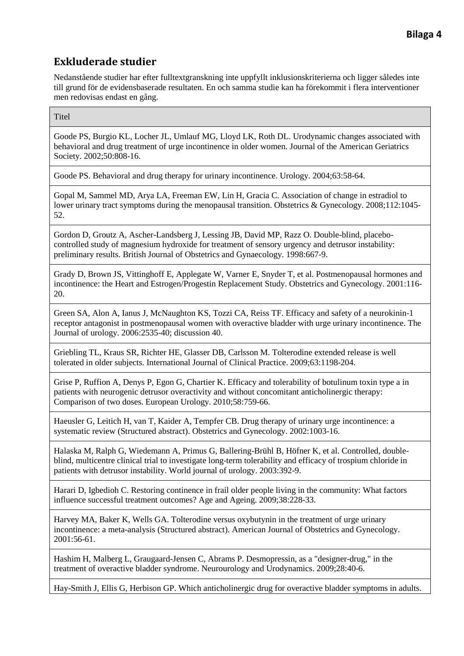Nedanstående studier har efter fulltextgranskning inte uppfyllt inklusionskriterierna och ligger således inte till grund för de evidensbaserade resultaten. En och samma studie kan ha förekommit i flera interventioner men redovisas endast en gång.

**Titel** 

Goode PS, Burgio KL, Locher JL, Umlauf MG, Lloyd LK, Roth DL. Urodynamic changes associated with behavioral and drug treatment of urge incontinence in older women. Journal of the American Geriatrics Society. 2002;50:808-16.

Goode PS. Behavioral and drug therapy for urinary incontinence. Urology. 2004;63:58-64.

Gopal M, Sammel MD, Arya LA, Freeman EW, Lin H, Gracia C. Association of change in estradiol to lower urinary tract symptoms during the menopausal transition. Obstetrics & Gynecology. 2008;112:1045- 52.

Gordon D, Groutz A, Ascher-Landsberg J, Lessing JB, David MP, Razz O. Double-blind, placebocontrolled study of magnesium hydroxide for treatment of sensory urgency and detrusor instability: preliminary results. British Journal of Obstetrics and Gynaecology. 1998:667-9.

Grady D, Brown JS, Vittinghoff E, Applegate W, Varner E, Snyder T, et al. Postmenopausal hormones and incontinence: the Heart and Estrogen/Progestin Replacement Study. Obstetrics and Gynecology. 2001:116- 20.

Green SA, Alon A, Ianus J, McNaughton KS, Tozzi CA, Reiss TF. Efficacy and safety of a neurokinin-1 receptor antagonist in postmenopausal women with overactive bladder with urge urinary incontinence. The Journal of urology. 2006:2535-40; discussion 40.

Griebling TL, Kraus SR, Richter HE, Glasser DB, Carlsson M. Tolterodine extended release is well tolerated in older subjects. International Journal of Clinical Practice. 2009;63:1198-204.

Grise P, Ruffion A, Denys P, Egon G, Chartier K. Efficacy and tolerability of botulinum toxin type a in patients with neurogenic detrusor overactivity and without concomitant anticholinergic therapy: Comparison of two doses. European Urology. 2010;58:759-66.

Haeusler G, Leitich H, van T, Kaider A, Tempfer CB. Drug therapy of urinary urge incontinence: a systematic review (Structured abstract). Obstetrics and Gynecology. 2002:1003-16.

Halaska M, Ralph G, Wiedemann A, Primus G, Ballering-Brühl B, Höfner K, et al. Controlled, doubleblind, multicentre clinical trial to investigate long-term tolerability and efficacy of trospium chloride in patients with detrusor instability. World journal of urology. 2003:392-9.

Harari D, Igbedioh C. Restoring continence in frail older people living in the community: What factors influence successful treatment outcomes? Age and Ageing. 2009;38:228-33.

Harvey MA, Baker K, Wells GA. Tolterodine versus oxybutynin in the treatment of urge urinary incontinence: a meta-analysis (Structured abstract). American Journal of Obstetrics and Gynecology. 2001:56-61.

Hashim H, Malberg L, Graugaard-Jensen C, Abrams P. Desmopressin, as a "designer-drug," in the treatment of overactive bladder syndrome. Neurourology and Urodynamics. 2009;28:40-6.

Hay-Smith J, Ellis G, Herbison GP. Which anticholinergic drug for overactive bladder symptoms in adults.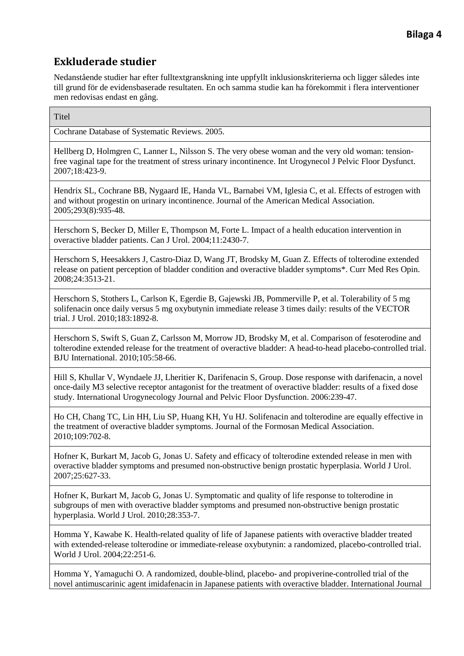Nedanstående studier har efter fulltextgranskning inte uppfyllt inklusionskriterierna och ligger således inte till grund för de evidensbaserade resultaten. En och samma studie kan ha förekommit i flera interventioner men redovisas endast en gång.

**Titel** 

Cochrane Database of Systematic Reviews. 2005.

Hellberg D, Holmgren C, Lanner L, Nilsson S. The very obese woman and the very old woman: tensionfree vaginal tape for the treatment of stress urinary incontinence. Int Urogynecol J Pelvic Floor Dysfunct. 2007;18:423-9.

Hendrix SL, Cochrane BB, Nygaard IE, Handa VL, Barnabei VM, Iglesia C, et al. Effects of estrogen with and without progestin on urinary incontinence. Journal of the American Medical Association. 2005;293(8):935-48.

Herschorn S, Becker D, Miller E, Thompson M, Forte L. Impact of a health education intervention in overactive bladder patients. Can J Urol. 2004;11:2430-7.

Herschorn S, Heesakkers J, Castro-Diaz D, Wang JT, Brodsky M, Guan Z. Effects of tolterodine extended release on patient perception of bladder condition and overactive bladder symptoms\*. Curr Med Res Opin. 2008;24:3513-21.

Herschorn S, Stothers L, Carlson K, Egerdie B, Gajewski JB, Pommerville P, et al. Tolerability of 5 mg solifenacin once daily versus 5 mg oxybutynin immediate release 3 times daily: results of the VECTOR trial. J Urol. 2010;183:1892-8.

Herschorn S, Swift S, Guan Z, Carlsson M, Morrow JD, Brodsky M, et al. Comparison of fesoterodine and tolterodine extended release for the treatment of overactive bladder: A head-to-head placebo-controlled trial. BJU International. 2010;105:58-66.

Hill S, Khullar V, Wyndaele JJ, Lheritier K, Darifenacin S, Group. Dose response with darifenacin, a novel once-daily M3 selective receptor antagonist for the treatment of overactive bladder: results of a fixed dose study. International Urogynecology Journal and Pelvic Floor Dysfunction. 2006:239-47.

Ho CH, Chang TC, Lin HH, Liu SP, Huang KH, Yu HJ. Solifenacin and tolterodine are equally effective in the treatment of overactive bladder symptoms. Journal of the Formosan Medical Association. 2010;109:702-8.

Hofner K, Burkart M, Jacob G, Jonas U. Safety and efficacy of tolterodine extended release in men with overactive bladder symptoms and presumed non-obstructive benign prostatic hyperplasia. World J Urol. 2007;25:627-33.

Hofner K, Burkart M, Jacob G, Jonas U. Symptomatic and quality of life response to tolterodine in subgroups of men with overactive bladder symptoms and presumed non-obstructive benign prostatic hyperplasia. World J Urol. 2010;28:353-7.

Homma Y, Kawabe K. Health-related quality of life of Japanese patients with overactive bladder treated with extended-release tolterodine or immediate-release oxybutynin: a randomized, placebo-controlled trial. World J Urol. 2004;22:251-6.

Homma Y, Yamaguchi O. A randomized, double-blind, placebo- and propiverine-controlled trial of the novel antimuscarinic agent imidafenacin in Japanese patients with overactive bladder. International Journal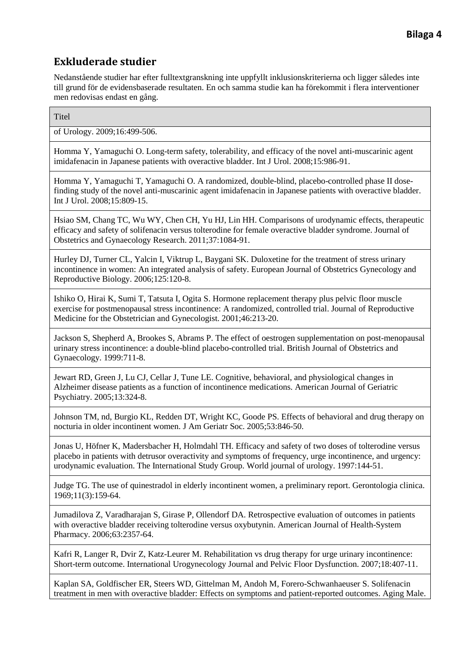Nedanstående studier har efter fulltextgranskning inte uppfyllt inklusionskriterierna och ligger således inte till grund för de evidensbaserade resultaten. En och samma studie kan ha förekommit i flera interventioner men redovisas endast en gång.

**Titel** 

of Urology. 2009;16:499-506.

Homma Y, Yamaguchi O. Long-term safety, tolerability, and efficacy of the novel anti-muscarinic agent imidafenacin in Japanese patients with overactive bladder. Int J Urol. 2008;15:986-91.

Homma Y, Yamaguchi T, Yamaguchi O. A randomized, double-blind, placebo-controlled phase II dosefinding study of the novel anti-muscarinic agent imidafenacin in Japanese patients with overactive bladder. Int J Urol. 2008;15:809-15.

Hsiao SM, Chang TC, Wu WY, Chen CH, Yu HJ, Lin HH. Comparisons of urodynamic effects, therapeutic efficacy and safety of solifenacin versus tolterodine for female overactive bladder syndrome. Journal of Obstetrics and Gynaecology Research. 2011;37:1084-91.

Hurley DJ, Turner CL, Yalcin I, Viktrup L, Baygani SK. Duloxetine for the treatment of stress urinary incontinence in women: An integrated analysis of safety. European Journal of Obstetrics Gynecology and Reproductive Biology. 2006;125:120-8.

Ishiko O, Hirai K, Sumi T, Tatsuta I, Ogita S. Hormone replacement therapy plus pelvic floor muscle exercise for postmenopausal stress incontinence: A randomized, controlled trial. Journal of Reproductive Medicine for the Obstetrician and Gynecologist. 2001;46:213-20.

Jackson S, Shepherd A, Brookes S, Abrams P. The effect of oestrogen supplementation on post-menopausal urinary stress incontinence: a double-blind placebo-controlled trial. British Journal of Obstetrics and Gynaecology. 1999:711-8.

Jewart RD, Green J, Lu CJ, Cellar J, Tune LE. Cognitive, behavioral, and physiological changes in Alzheimer disease patients as a function of incontinence medications. American Journal of Geriatric Psychiatry. 2005;13:324-8.

Johnson TM, nd, Burgio KL, Redden DT, Wright KC, Goode PS. Effects of behavioral and drug therapy on nocturia in older incontinent women. J Am Geriatr Soc. 2005;53:846-50.

Jonas U, Höfner K, Madersbacher H, Holmdahl TH. Efficacy and safety of two doses of tolterodine versus placebo in patients with detrusor overactivity and symptoms of frequency, urge incontinence, and urgency: urodynamic evaluation. The International Study Group. World journal of urology. 1997:144-51.

Judge TG. The use of quinestradol in elderly incontinent women, a preliminary report. Gerontologia clinica. 1969;11(3):159-64.

Jumadilova Z, Varadharajan S, Girase P, Ollendorf DA. Retrospective evaluation of outcomes in patients with overactive bladder receiving tolterodine versus oxybutynin. American Journal of Health-System Pharmacy. 2006;63:2357-64.

Kafri R, Langer R, Dvir Z, Katz-Leurer M. Rehabilitation vs drug therapy for urge urinary incontinence: Short-term outcome. International Urogynecology Journal and Pelvic Floor Dysfunction. 2007;18:407-11.

Kaplan SA, Goldfischer ER, Steers WD, Gittelman M, Andoh M, Forero-Schwanhaeuser S. Solifenacin treatment in men with overactive bladder: Effects on symptoms and patient-reported outcomes. Aging Male.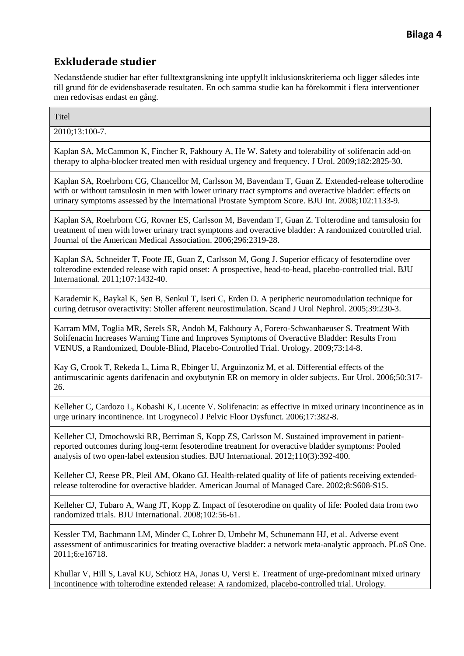Nedanstående studier har efter fulltextgranskning inte uppfyllt inklusionskriterierna och ligger således inte till grund för de evidensbaserade resultaten. En och samma studie kan ha förekommit i flera interventioner men redovisas endast en gång.

**Titel** 

 $2010:13:100-7$ .

Kaplan SA, McCammon K, Fincher R, Fakhoury A, He W. Safety and tolerability of solifenacin add-on therapy to alpha-blocker treated men with residual urgency and frequency. J Urol. 2009;182:2825-30.

Kaplan SA, Roehrborn CG, Chancellor M, Carlsson M, Bavendam T, Guan Z. Extended-release tolterodine with or without tamsulosin in men with lower urinary tract symptoms and overactive bladder: effects on urinary symptoms assessed by the International Prostate Symptom Score. BJU Int. 2008;102:1133-9.

Kaplan SA, Roehrborn CG, Rovner ES, Carlsson M, Bavendam T, Guan Z. Tolterodine and tamsulosin for treatment of men with lower urinary tract symptoms and overactive bladder: A randomized controlled trial. Journal of the American Medical Association. 2006;296:2319-28.

Kaplan SA, Schneider T, Foote JE, Guan Z, Carlsson M, Gong J. Superior efficacy of fesoterodine over tolterodine extended release with rapid onset: A prospective, head-to-head, placebo-controlled trial. BJU International. 2011;107:1432-40.

Karademir K, Baykal K, Sen B, Senkul T, Iseri C, Erden D. A peripheric neuromodulation technique for curing detrusor overactivity: Stoller afferent neurostimulation. Scand J Urol Nephrol. 2005;39:230-3.

Karram MM, Toglia MR, Serels SR, Andoh M, Fakhoury A, Forero-Schwanhaeuser S. Treatment With Solifenacin Increases Warning Time and Improves Symptoms of Overactive Bladder: Results From VENUS, a Randomized, Double-Blind, Placebo-Controlled Trial. Urology. 2009;73:14-8.

Kay G, Crook T, Rekeda L, Lima R, Ebinger U, Arguinzoniz M, et al. Differential effects of the antimuscarinic agents darifenacin and oxybutynin ER on memory in older subjects. Eur Urol. 2006;50:317- 26.

Kelleher C, Cardozo L, Kobashi K, Lucente V. Solifenacin: as effective in mixed urinary incontinence as in urge urinary incontinence. Int Urogynecol J Pelvic Floor Dysfunct. 2006;17:382-8.

Kelleher CJ, Dmochowski RR, Berriman S, Kopp ZS, Carlsson M. Sustained improvement in patientreported outcomes during long-term fesoterodine treatment for overactive bladder symptoms: Pooled analysis of two open-label extension studies. BJU International. 2012;110(3):392-400.

Kelleher CJ, Reese PR, Pleil AM, Okano GJ. Health-related quality of life of patients receiving extendedrelease tolterodine for overactive bladder. American Journal of Managed Care. 2002;8:S608-S15.

Kelleher CJ, Tubaro A, Wang JT, Kopp Z. Impact of fesoterodine on quality of life: Pooled data from two randomized trials. BJU International. 2008;102:56-61.

Kessler TM, Bachmann LM, Minder C, Lohrer D, Umbehr M, Schunemann HJ, et al. Adverse event assessment of antimuscarinics for treating overactive bladder: a network meta-analytic approach. PLoS One. 2011;6:e16718.

Khullar V, Hill S, Laval KU, Schiotz HA, Jonas U, Versi E. Treatment of urge-predominant mixed urinary incontinence with tolterodine extended release: A randomized, placebo-controlled trial. Urology.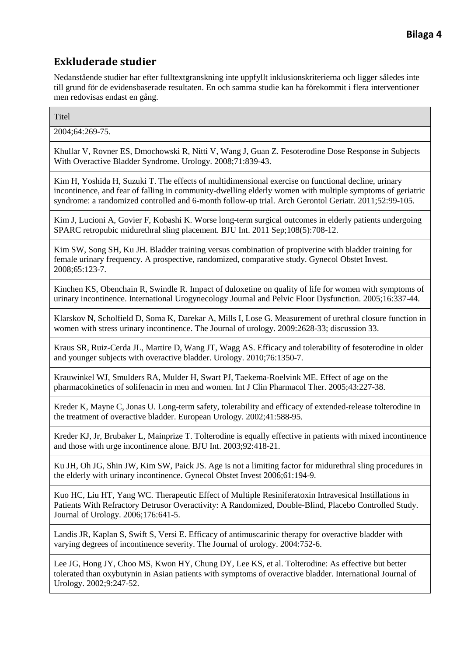Nedanstående studier har efter fulltextgranskning inte uppfyllt inklusionskriterierna och ligger således inte till grund för de evidensbaserade resultaten. En och samma studie kan ha förekommit i flera interventioner men redovisas endast en gång.

**Titel** 

2004;64:269-75.

Khullar V, Rovner ES, Dmochowski R, Nitti V, Wang J, Guan Z. Fesoterodine Dose Response in Subjects With Overactive Bladder Syndrome. Urology. 2008;71:839-43.

Kim H, Yoshida H, Suzuki T. The effects of multidimensional exercise on functional decline, urinary incontinence, and fear of falling in community-dwelling elderly women with multiple symptoms of geriatric syndrome: a randomized controlled and 6-month follow-up trial. Arch Gerontol Geriatr. 2011;52:99-105.

Kim J, Lucioni A, Govier F, Kobashi K. Worse long-term surgical outcomes in elderly patients undergoing SPARC retropubic midurethral sling placement. BJU Int. 2011 Sep;108(5):708-12.

Kim SW, Song SH, Ku JH. Bladder training versus combination of propiverine with bladder training for female urinary frequency. A prospective, randomized, comparative study. Gynecol Obstet Invest. 2008;65:123-7.

Kinchen KS, Obenchain R, Swindle R. Impact of duloxetine on quality of life for women with symptoms of urinary incontinence. International Urogynecology Journal and Pelvic Floor Dysfunction. 2005;16:337-44.

Klarskov N, Scholfield D, Soma K, Darekar A, Mills I, Lose G. Measurement of urethral closure function in women with stress urinary incontinence. The Journal of urology. 2009:2628-33; discussion 33.

Kraus SR, Ruiz-Cerda JL, Martire D, Wang JT, Wagg AS. Efficacy and tolerability of fesoterodine in older and younger subjects with overactive bladder. Urology. 2010;76:1350-7.

Krauwinkel WJ, Smulders RA, Mulder H, Swart PJ, Taekema-Roelvink ME. Effect of age on the pharmacokinetics of solifenacin in men and women. Int J Clin Pharmacol Ther. 2005;43:227-38.

Kreder K, Mayne C, Jonas U. Long-term safety, tolerability and efficacy of extended-release tolterodine in the treatment of overactive bladder. European Urology. 2002;41:588-95.

Kreder KJ, Jr, Brubaker L, Mainprize T. Tolterodine is equally effective in patients with mixed incontinence and those with urge incontinence alone. BJU Int. 2003;92:418-21.

Ku JH, Oh JG, Shin JW, Kim SW, Paick JS. Age is not a limiting factor for midurethral sling procedures in the elderly with urinary incontinence. Gynecol Obstet Invest 2006;61:194-9.

Kuo HC, Liu HT, Yang WC. Therapeutic Effect of Multiple Resiniferatoxin Intravesical Instillations in Patients With Refractory Detrusor Overactivity: A Randomized, Double-Blind, Placebo Controlled Study. Journal of Urology. 2006;176:641-5.

Landis JR, Kaplan S, Swift S, Versi E. Efficacy of antimuscarinic therapy for overactive bladder with varying degrees of incontinence severity. The Journal of urology. 2004:752-6.

Lee JG, Hong JY, Choo MS, Kwon HY, Chung DY, Lee KS, et al. Tolterodine: As effective but better tolerated than oxybutynin in Asian patients with symptoms of overactive bladder. International Journal of Urology. 2002;9:247-52.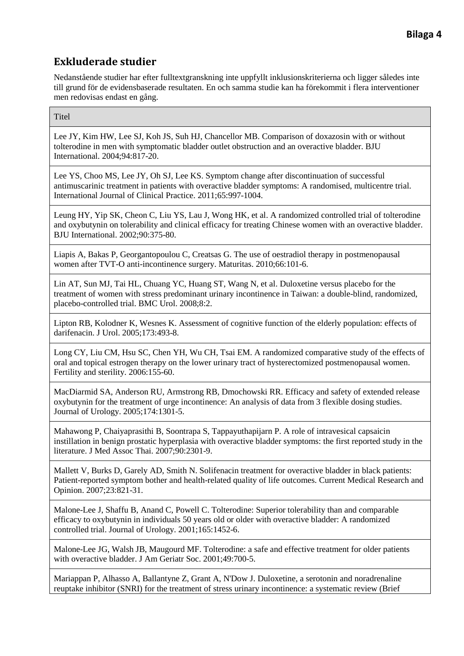Nedanstående studier har efter fulltextgranskning inte uppfyllt inklusionskriterierna och ligger således inte till grund för de evidensbaserade resultaten. En och samma studie kan ha förekommit i flera interventioner men redovisas endast en gång.

**Titel** 

Lee JY, Kim HW, Lee SJ, Koh JS, Suh HJ, Chancellor MB. Comparison of doxazosin with or without tolterodine in men with symptomatic bladder outlet obstruction and an overactive bladder. BJU International. 2004;94:817-20.

Lee YS, Choo MS, Lee JY, Oh SJ, Lee KS. Symptom change after discontinuation of successful antimuscarinic treatment in patients with overactive bladder symptoms: A randomised, multicentre trial. International Journal of Clinical Practice. 2011;65:997-1004.

Leung HY, Yip SK, Cheon C, Liu YS, Lau J, Wong HK, et al. A randomized controlled trial of tolterodine and oxybutynin on tolerability and clinical efficacy for treating Chinese women with an overactive bladder. BJU International. 2002;90:375-80.

Liapis A, Bakas P, Georgantopoulou C, Creatsas G. The use of oestradiol therapy in postmenopausal women after TVT-O anti-incontinence surgery. Maturitas. 2010;66:101-6.

Lin AT, Sun MJ, Tai HL, Chuang YC, Huang ST, Wang N, et al. Duloxetine versus placebo for the treatment of women with stress predominant urinary incontinence in Taiwan: a double-blind, randomized, placebo-controlled trial. BMC Urol. 2008;8:2.

Lipton RB, Kolodner K, Wesnes K. Assessment of cognitive function of the elderly population: effects of darifenacin. J Urol. 2005;173:493-8.

Long CY, Liu CM, Hsu SC, Chen YH, Wu CH, Tsai EM. A randomized comparative study of the effects of oral and topical estrogen therapy on the lower urinary tract of hysterectomized postmenopausal women. Fertility and sterility. 2006:155-60.

MacDiarmid SA, Anderson RU, Armstrong RB, Dmochowski RR. Efficacy and safety of extended release oxybutynin for the treatment of urge incontinence: An analysis of data from 3 flexible dosing studies. Journal of Urology. 2005;174:1301-5.

Mahawong P, Chaiyaprasithi B, Soontrapa S, Tappayuthapijarn P. A role of intravesical capsaicin instillation in benign prostatic hyperplasia with overactive bladder symptoms: the first reported study in the literature. J Med Assoc Thai. 2007;90:2301-9.

Mallett V, Burks D, Garely AD, Smith N. Solifenacin treatment for overactive bladder in black patients: Patient-reported symptom bother and health-related quality of life outcomes. Current Medical Research and Opinion. 2007;23:821-31.

Malone-Lee J, Shaffu B, Anand C, Powell C. Tolterodine: Superior tolerability than and comparable efficacy to oxybutynin in individuals 50 years old or older with overactive bladder: A randomized controlled trial. Journal of Urology. 2001;165:1452-6.

Malone-Lee JG, Walsh JB, Maugourd MF. Tolterodine: a safe and effective treatment for older patients with overactive bladder. J Am Geriatr Soc. 2001;49:700-5.

Mariappan P, Alhasso A, Ballantyne Z, Grant A, N'Dow J. Duloxetine, a serotonin and noradrenaline reuptake inhibitor (SNRI) for the treatment of stress urinary incontinence: a systematic review (Brief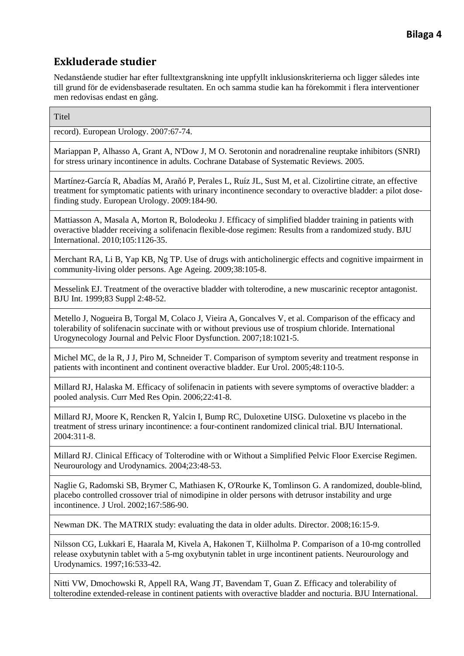Nedanstående studier har efter fulltextgranskning inte uppfyllt inklusionskriterierna och ligger således inte till grund för de evidensbaserade resultaten. En och samma studie kan ha förekommit i flera interventioner men redovisas endast en gång.

**Titel** 

record). European Urology. 2007:67-74.

Mariappan P, Alhasso A, Grant A, N'Dow J, M O. Serotonin and noradrenaline reuptake inhibitors (SNRI) for stress urinary incontinence in adults. Cochrane Database of Systematic Reviews. 2005.

Martínez-García R, Abadías M, Arañó P, Perales L, Ruíz JL, Sust M, et al. Cizolirtine citrate, an effective treatment for symptomatic patients with urinary incontinence secondary to overactive bladder: a pilot dosefinding study. European Urology. 2009:184-90.

Mattiasson A, Masala A, Morton R, Bolodeoku J. Efficacy of simplified bladder training in patients with overactive bladder receiving a solifenacin flexible-dose regimen: Results from a randomized study. BJU International. 2010;105:1126-35.

Merchant RA, Li B, Yap KB, Ng TP. Use of drugs with anticholinergic effects and cognitive impairment in community-living older persons. Age Ageing. 2009;38:105-8.

Messelink EJ. Treatment of the overactive bladder with tolterodine, a new muscarinic receptor antagonist. BJU Int. 1999;83 Suppl 2:48-52.

Metello J, Nogueira B, Torgal M, Colaco J, Vieira A, Goncalves V, et al. Comparison of the efficacy and tolerability of solifenacin succinate with or without previous use of trospium chloride. International Urogynecology Journal and Pelvic Floor Dysfunction. 2007;18:1021-5.

Michel MC, de la R, J J, Piro M, Schneider T. Comparison of symptom severity and treatment response in patients with incontinent and continent overactive bladder. Eur Urol. 2005;48:110-5.

Millard RJ, Halaska M. Efficacy of solifenacin in patients with severe symptoms of overactive bladder: a pooled analysis. Curr Med Res Opin. 2006;22:41-8.

Millard RJ, Moore K, Rencken R, Yalcin I, Bump RC, Duloxetine UISG. Duloxetine vs placebo in the treatment of stress urinary incontinence: a four-continent randomized clinical trial. BJU International. 2004:311-8.

Millard RJ. Clinical Efficacy of Tolterodine with or Without a Simplified Pelvic Floor Exercise Regimen. Neurourology and Urodynamics. 2004;23:48-53.

Naglie G, Radomski SB, Brymer C, Mathiasen K, O'Rourke K, Tomlinson G. A randomized, double-blind, placebo controlled crossover trial of nimodipine in older persons with detrusor instability and urge incontinence. J Urol. 2002;167:586-90.

Newman DK. The MATRIX study: evaluating the data in older adults. Director. 2008;16:15-9.

Nilsson CG, Lukkari E, Haarala M, Kivela A, Hakonen T, Kiilholma P. Comparison of a 10-mg controlled release oxybutynin tablet with a 5-mg oxybutynin tablet in urge incontinent patients. Neurourology and Urodynamics. 1997;16:533-42.

Nitti VW, Dmochowski R, Appell RA, Wang JT, Bavendam T, Guan Z. Efficacy and tolerability of tolterodine extended-release in continent patients with overactive bladder and nocturia. BJU International.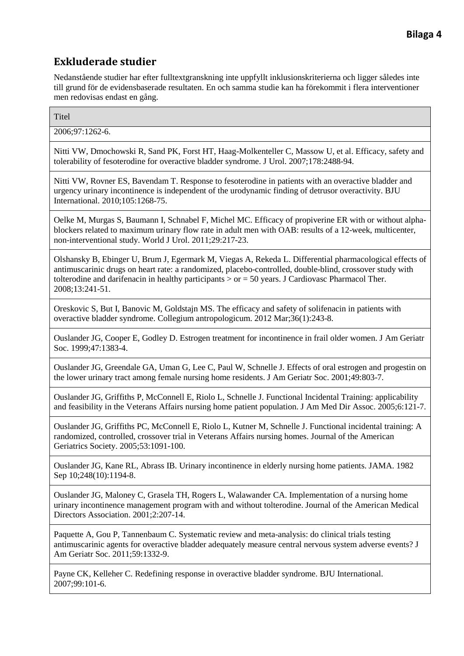Nedanstående studier har efter fulltextgranskning inte uppfyllt inklusionskriterierna och ligger således inte till grund för de evidensbaserade resultaten. En och samma studie kan ha förekommit i flera interventioner men redovisas endast en gång.

**Titel** 

2006;97:1262-6.

Nitti VW, Dmochowski R, Sand PK, Forst HT, Haag-Molkenteller C, Massow U, et al. Efficacy, safety and tolerability of fesoterodine for overactive bladder syndrome. J Urol. 2007;178:2488-94.

Nitti VW, Rovner ES, Bavendam T. Response to fesoterodine in patients with an overactive bladder and urgency urinary incontinence is independent of the urodynamic finding of detrusor overactivity. BJU International. 2010;105:1268-75.

Oelke M, Murgas S, Baumann I, Schnabel F, Michel MC. Efficacy of propiverine ER with or without alphablockers related to maximum urinary flow rate in adult men with OAB: results of a 12-week, multicenter, non-interventional study. World J Urol. 2011;29:217-23.

Olshansky B, Ebinger U, Brum J, Egermark M, Viegas A, Rekeda L. Differential pharmacological effects of antimuscarinic drugs on heart rate: a randomized, placebo-controlled, double-blind, crossover study with tolterodine and darifenacin in healthy participants  $>$  or  $=$  50 years. J Cardiovasc Pharmacol Ther. 2008;13:241-51.

Oreskovic S, But I, Banovic M, Goldstajn MS. The efficacy and safety of solifenacin in patients with overactive bladder syndrome. Collegium antropologicum. 2012 Mar;36(1):243-8.

Ouslander JG, Cooper E, Godley D. Estrogen treatment for incontinence in frail older women. J Am Geriatr Soc. 1999;47:1383-4.

Ouslander JG, Greendale GA, Uman G, Lee C, Paul W, Schnelle J. Effects of oral estrogen and progestin on the lower urinary tract among female nursing home residents. J Am Geriatr Soc. 2001;49:803-7.

Ouslander JG, Griffiths P, McConnell E, Riolo L, Schnelle J. Functional Incidental Training: applicability and feasibility in the Veterans Affairs nursing home patient population. J Am Med Dir Assoc. 2005;6:121-7.

Ouslander JG, Griffiths PC, McConnell E, Riolo L, Kutner M, Schnelle J. Functional incidental training: A randomized, controlled, crossover trial in Veterans Affairs nursing homes. Journal of the American Geriatrics Society. 2005;53:1091-100.

Ouslander JG, Kane RL, Abrass IB. Urinary incontinence in elderly nursing home patients. JAMA. 1982 Sep  $10;248(10):1194-8$ .

Ouslander JG, Maloney C, Grasela TH, Rogers L, Walawander CA. Implementation of a nursing home urinary incontinence management program with and without tolterodine. Journal of the American Medical Directors Association. 2001;2:207-14.

Paquette A, Gou P, Tannenbaum C. Systematic review and meta-analysis: do clinical trials testing antimuscarinic agents for overactive bladder adequately measure central nervous system adverse events? J Am Geriatr Soc. 2011;59:1332-9.

Payne CK, Kelleher C. Redefining response in overactive bladder syndrome. BJU International. 2007;99:101-6.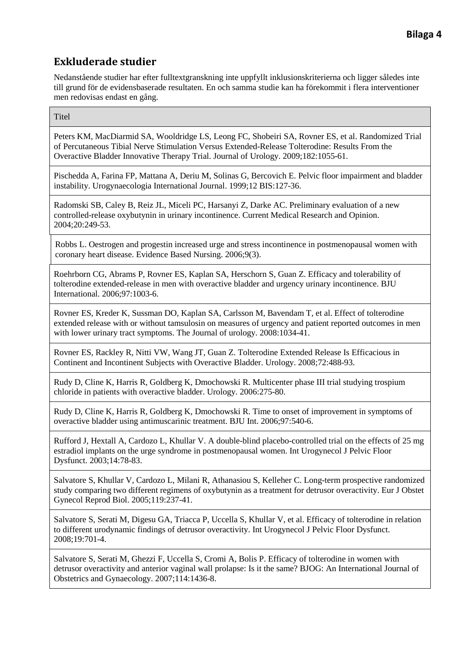Nedanstående studier har efter fulltextgranskning inte uppfyllt inklusionskriterierna och ligger således inte till grund för de evidensbaserade resultaten. En och samma studie kan ha förekommit i flera interventioner men redovisas endast en gång.

**Titel** 

Peters KM, MacDiarmid SA, Wooldridge LS, Leong FC, Shobeiri SA, Rovner ES, et al. Randomized Trial of Percutaneous Tibial Nerve Stimulation Versus Extended-Release Tolterodine: Results From the Overactive Bladder Innovative Therapy Trial. Journal of Urology. 2009;182:1055-61.

Pischedda A, Farina FP, Mattana A, Deriu M, Solinas G, Bercovich E. Pelvic floor impairment and bladder instability. Urogynaecologia International Journal. 1999;12 BIS:127-36.

Radomski SB, Caley B, Reiz JL, Miceli PC, Harsanyi Z, Darke AC. Preliminary evaluation of a new controlled-release oxybutynin in urinary incontinence. Current Medical Research and Opinion. 2004;20:249-53.

Robbs L. Oestrogen and progestin increased urge and stress incontinence in postmenopausal women with coronary heart disease. Evidence Based Nursing. 2006;9(3).

Roehrborn CG, Abrams P, Rovner ES, Kaplan SA, Herschorn S, Guan Z. Efficacy and tolerability of tolterodine extended-release in men with overactive bladder and urgency urinary incontinence. BJU International. 2006;97:1003-6.

Rovner ES, Kreder K, Sussman DO, Kaplan SA, Carlsson M, Bavendam T, et al. Effect of tolterodine extended release with or without tamsulosin on measures of urgency and patient reported outcomes in men with lower urinary tract symptoms. The Journal of urology. 2008:1034-41.

Rovner ES, Rackley R, Nitti VW, Wang JT, Guan Z. Tolterodine Extended Release Is Efficacious in Continent and Incontinent Subjects with Overactive Bladder. Urology. 2008;72:488-93.

Rudy D, Cline K, Harris R, Goldberg K, Dmochowski R. Multicenter phase III trial studying trospium chloride in patients with overactive bladder. Urology. 2006:275-80.

Rudy D, Cline K, Harris R, Goldberg K, Dmochowski R. Time to onset of improvement in symptoms of overactive bladder using antimuscarinic treatment. BJU Int. 2006;97:540-6.

Rufford J, Hextall A, Cardozo L, Khullar V. A double-blind placebo-controlled trial on the effects of 25 mg estradiol implants on the urge syndrome in postmenopausal women. Int Urogynecol J Pelvic Floor Dysfunct. 2003;14:78-83.

Salvatore S, Khullar V, Cardozo L, Milani R, Athanasiou S, Kelleher C. Long-term prospective randomized study comparing two different regimens of oxybutynin as a treatment for detrusor overactivity. Eur J Obstet Gynecol Reprod Biol. 2005;119:237-41.

Salvatore S, Serati M, Digesu GA, Triacca P, Uccella S, Khullar V, et al. Efficacy of tolterodine in relation to different urodynamic findings of detrusor overactivity. Int Urogynecol J Pelvic Floor Dysfunct. 2008;19:701-4.

Salvatore S, Serati M, Ghezzi F, Uccella S, Cromi A, Bolis P. Efficacy of tolterodine in women with detrusor overactivity and anterior vaginal wall prolapse: Is it the same? BJOG: An International Journal of Obstetrics and Gynaecology. 2007;114:1436-8.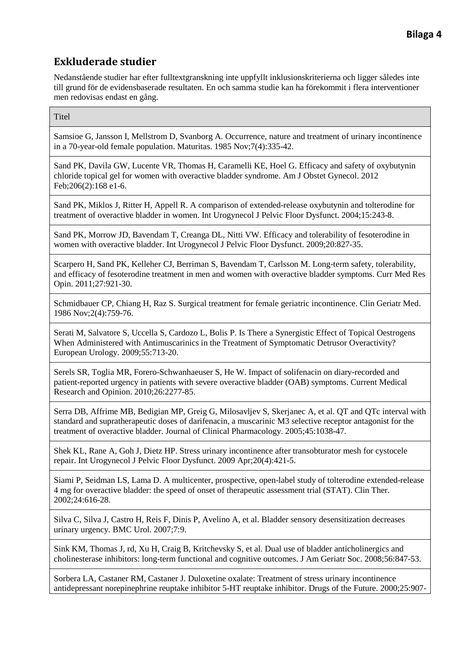Nedanstående studier har efter fulltextgranskning inte uppfyllt inklusionskriterierna och ligger således inte till grund för de evidensbaserade resultaten. En och samma studie kan ha förekommit i flera interventioner men redovisas endast en gång.

#### **Titel**

Samsioe G, Jansson I, Mellstrom D, Svanborg A. Occurrence, nature and treatment of urinary incontinence in a 70-year-old female population. Maturitas. 1985 Nov;7(4):335-42.

Sand PK, Davila GW, Lucente VR, Thomas H, Caramelli KE, Hoel G. Efficacy and safety of oxybutynin chloride topical gel for women with overactive bladder syndrome. Am J Obstet Gynecol. 2012 Feb;206(2):168 e1-6.

Sand PK, Miklos J, Ritter H, Appell R. A comparison of extended-release oxybutynin and tolterodine for treatment of overactive bladder in women. Int Urogynecol J Pelvic Floor Dysfunct. 2004;15:243-8.

Sand PK, Morrow JD, Bavendam T, Creanga DL, Nitti VW. Efficacy and tolerability of fesoterodine in women with overactive bladder. Int Urogynecol J Pelvic Floor Dysfunct. 2009;20:827-35.

Scarpero H, Sand PK, Kelleher CJ, Berriman S, Bavendam T, Carlsson M. Long-term safety, tolerability, and efficacy of fesoterodine treatment in men and women with overactive bladder symptoms. Curr Med Res Opin. 2011;27:921-30.

Schmidbauer CP, Chiang H, Raz S. Surgical treatment for female geriatric incontinence. Clin Geriatr Med. 1986 Nov;2(4):759-76.

Serati M, Salvatore S, Uccella S, Cardozo L, Bolis P. Is There a Synergistic Effect of Topical Oestrogens When Administered with Antimuscarinics in the Treatment of Symptomatic Detrusor Overactivity? European Urology. 2009;55:713-20.

Serels SR, Toglia MR, Forero-Schwanhaeuser S, He W. Impact of solifenacin on diary-recorded and patient-reported urgency in patients with severe overactive bladder (OAB) symptoms. Current Medical Research and Opinion. 2010;26:2277-85.

Serra DB, Affrime MB, Bedigian MP, Greig G, Milosavljev S, Skerjanec A, et al. QT and QTc interval with standard and supratherapeutic doses of darifenacin, a muscarinic M3 selective receptor antagonist for the treatment of overactive bladder. Journal of Clinical Pharmacology. 2005;45:1038-47.

Shek KL, Rane A, Goh J, Dietz HP. Stress urinary incontinence after transobturator mesh for cystocele repair. Int Urogynecol J Pelvic Floor Dysfunct. 2009 Apr;20(4):421-5.

Siami P, Seidman LS, Lama D. A multicenter, prospective, open-label study of tolterodine extended-release 4 mg for overactive bladder: the speed of onset of therapeutic assessment trial (STAT). Clin Ther. 2002;24:616-28.

Silva C, Silva J, Castro H, Reis F, Dinis P, Avelino A, et al. Bladder sensory desensitization decreases urinary urgency. BMC Urol. 2007;7:9.

Sink KM, Thomas J, rd, Xu H, Craig B, Kritchevsky S, et al. Dual use of bladder anticholinergics and cholinesterase inhibitors: long-term functional and cognitive outcomes. J Am Geriatr Soc. 2008;56:847-53.

Sorbera LA, Castaner RM, Castaner J. Duloxetine oxalate: Treatment of stress urinary incontinence antidepressant norepinephrine reuptake inhibitor 5-HT reuptake inhibitor. Drugs of the Future. 2000;25:907-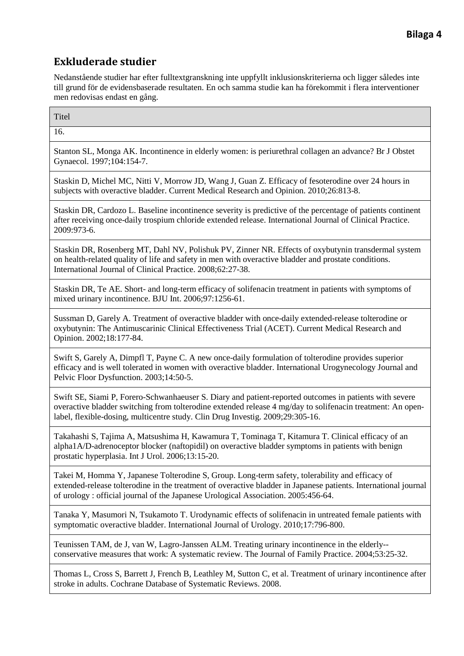Nedanstående studier har efter fulltextgranskning inte uppfyllt inklusionskriterierna och ligger således inte till grund för de evidensbaserade resultaten. En och samma studie kan ha förekommit i flera interventioner men redovisas endast en gång.

16.

Stanton SL, Monga AK. Incontinence in elderly women: is periurethral collagen an advance? Br J Obstet Gynaecol. 1997;104:154-7.

Staskin D, Michel MC, Nitti V, Morrow JD, Wang J, Guan Z. Efficacy of fesoterodine over 24 hours in subjects with overactive bladder. Current Medical Research and Opinion. 2010;26:813-8.

Staskin DR, Cardozo L. Baseline incontinence severity is predictive of the percentage of patients continent after receiving once-daily trospium chloride extended release. International Journal of Clinical Practice. 2009:973-6.

Staskin DR, Rosenberg MT, Dahl NV, Polishuk PV, Zinner NR. Effects of oxybutynin transdermal system on health-related quality of life and safety in men with overactive bladder and prostate conditions. International Journal of Clinical Practice. 2008;62:27-38.

Staskin DR, Te AE. Short- and long-term efficacy of solifenacin treatment in patients with symptoms of mixed urinary incontinence. BJU Int. 2006;97:1256-61.

Sussman D, Garely A. Treatment of overactive bladder with once-daily extended-release tolterodine or oxybutynin: The Antimuscarinic Clinical Effectiveness Trial (ACET). Current Medical Research and Opinion. 2002;18:177-84.

Swift S, Garely A, Dimpfl T, Payne C. A new once-daily formulation of tolterodine provides superior efficacy and is well tolerated in women with overactive bladder. International Urogynecology Journal and Pelvic Floor Dysfunction. 2003;14:50-5.

Swift SE, Siami P, Forero-Schwanhaeuser S. Diary and patient-reported outcomes in patients with severe overactive bladder switching from tolterodine extended release 4 mg/day to solifenacin treatment: An openlabel, flexible-dosing, multicentre study. Clin Drug Investig. 2009;29:305-16.

Takahashi S, Tajima A, Matsushima H, Kawamura T, Tominaga T, Kitamura T. Clinical efficacy of an alpha1A/D-adrenoceptor blocker (naftopidil) on overactive bladder symptoms in patients with benign prostatic hyperplasia. Int J Urol. 2006;13:15-20.

Takei M, Homma Y, Japanese Tolterodine S, Group. Long-term safety, tolerability and efficacy of extended-release tolterodine in the treatment of overactive bladder in Japanese patients. International journal of urology : official journal of the Japanese Urological Association. 2005:456-64.

Tanaka Y, Masumori N, Tsukamoto T. Urodynamic effects of solifenacin in untreated female patients with symptomatic overactive bladder. International Journal of Urology. 2010;17:796-800.

Teunissen TAM, de J, van W, Lagro-Janssen ALM. Treating urinary incontinence in the elderly- conservative measures that work: A systematic review. The Journal of Family Practice. 2004;53:25-32.

Thomas L, Cross S, Barrett J, French B, Leathley M, Sutton C, et al. Treatment of urinary incontinence after stroke in adults. Cochrane Database of Systematic Reviews. 2008.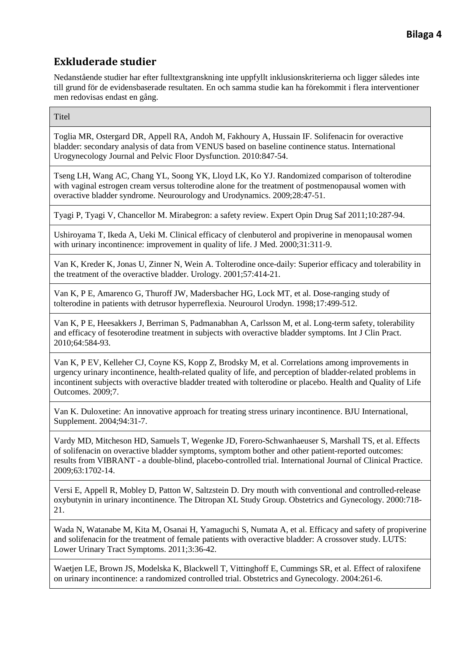Nedanstående studier har efter fulltextgranskning inte uppfyllt inklusionskriterierna och ligger således inte till grund för de evidensbaserade resultaten. En och samma studie kan ha förekommit i flera interventioner men redovisas endast en gång.

**Titel** 

Toglia MR, Ostergard DR, Appell RA, Andoh M, Fakhoury A, Hussain IF. Solifenacin for overactive bladder: secondary analysis of data from VENUS based on baseline continence status. International Urogynecology Journal and Pelvic Floor Dysfunction. 2010:847-54.

Tseng LH, Wang AC, Chang YL, Soong YK, Lloyd LK, Ko YJ. Randomized comparison of tolterodine with vaginal estrogen cream versus tolterodine alone for the treatment of postmenopausal women with overactive bladder syndrome. Neurourology and Urodynamics. 2009;28:47-51.

Tyagi P, Tyagi V, Chancellor M. Mirabegron: a safety review. Expert Opin Drug Saf 2011;10:287-94.

Ushiroyama T, Ikeda A, Ueki M. Clinical efficacy of clenbuterol and propiverine in menopausal women with urinary incontinence: improvement in quality of life. J Med. 2000;31:311-9.

Van K, Kreder K, Jonas U, Zinner N, Wein A. Tolterodine once-daily: Superior efficacy and tolerability in the treatment of the overactive bladder. Urology. 2001;57:414-21.

Van K, P E, Amarenco G, Thuroff JW, Madersbacher HG, Lock MT, et al. Dose-ranging study of tolterodine in patients with detrusor hyperreflexia. Neurourol Urodyn. 1998;17:499-512.

Van K, P E, Heesakkers J, Berriman S, Padmanabhan A, Carlsson M, et al. Long-term safety, tolerability and efficacy of fesoterodine treatment in subjects with overactive bladder symptoms. Int J Clin Pract. 2010;64:584-93.

Van K, P EV, Kelleher CJ, Coyne KS, Kopp Z, Brodsky M, et al. Correlations among improvements in urgency urinary incontinence, health-related quality of life, and perception of bladder-related problems in incontinent subjects with overactive bladder treated with tolterodine or placebo. Health and Quality of Life Outcomes. 2009;7.

Van K. Duloxetine: An innovative approach for treating stress urinary incontinence. BJU International, Supplement. 2004;94:31-7.

Vardy MD, Mitcheson HD, Samuels T, Wegenke JD, Forero-Schwanhaeuser S, Marshall TS, et al. Effects of solifenacin on overactive bladder symptoms, symptom bother and other patient-reported outcomes: results from VIBRANT - a double-blind, placebo-controlled trial. International Journal of Clinical Practice. 2009;63:1702-14.

Versi E, Appell R, Mobley D, Patton W, Saltzstein D. Dry mouth with conventional and controlled-release oxybutynin in urinary incontinence. The Ditropan XL Study Group. Obstetrics and Gynecology. 2000:718- 21.

Wada N, Watanabe M, Kita M, Osanai H, Yamaguchi S, Numata A, et al. Efficacy and safety of propiverine and solifenacin for the treatment of female patients with overactive bladder: A crossover study. LUTS: Lower Urinary Tract Symptoms. 2011;3:36-42.

Waetjen LE, Brown JS, Modelska K, Blackwell T, Vittinghoff E, Cummings SR, et al. Effect of raloxifene on urinary incontinence: a randomized controlled trial. Obstetrics and Gynecology. 2004:261-6.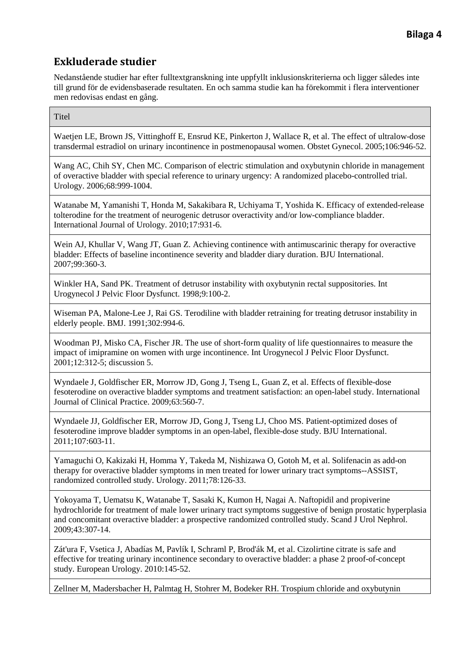Nedanstående studier har efter fulltextgranskning inte uppfyllt inklusionskriterierna och ligger således inte till grund för de evidensbaserade resultaten. En och samma studie kan ha förekommit i flera interventioner men redovisas endast en gång.

#### **Titel**

Waetjen LE, Brown JS, Vittinghoff E, Ensrud KE, Pinkerton J, Wallace R, et al. The effect of ultralow-dose transdermal estradiol on urinary incontinence in postmenopausal women. Obstet Gynecol. 2005;106:946-52.

Wang AC, Chih SY, Chen MC. Comparison of electric stimulation and oxybutynin chloride in management of overactive bladder with special reference to urinary urgency: A randomized placebo-controlled trial. Urology. 2006;68:999-1004.

Watanabe M, Yamanishi T, Honda M, Sakakibara R, Uchiyama T, Yoshida K. Efficacy of extended-release tolterodine for the treatment of neurogenic detrusor overactivity and/or low-compliance bladder. International Journal of Urology. 2010;17:931-6.

Wein AJ, Khullar V, Wang JT, Guan Z. Achieving continence with antimuscarinic therapy for overactive bladder: Effects of baseline incontinence severity and bladder diary duration. BJU International. 2007;99:360-3.

Winkler HA, Sand PK. Treatment of detrusor instability with oxybutynin rectal suppositories. Int Urogynecol J Pelvic Floor Dysfunct. 1998;9:100-2.

Wiseman PA, Malone-Lee J, Rai GS. Terodiline with bladder retraining for treating detrusor instability in elderly people. BMJ. 1991;302:994-6.

Woodman PJ, Misko CA, Fischer JR. The use of short-form quality of life questionnaires to measure the impact of imipramine on women with urge incontinence. Int Urogynecol J Pelvic Floor Dysfunct. 2001;12:312-5; discussion 5.

Wyndaele J, Goldfischer ER, Morrow JD, Gong J, Tseng L, Guan Z, et al. Effects of flexible-dose fesoterodine on overactive bladder symptoms and treatment satisfaction: an open-label study. International Journal of Clinical Practice. 2009;63:560-7.

Wyndaele JJ, Goldfischer ER, Morrow JD, Gong J, Tseng LJ, Choo MS. Patient-optimized doses of fesoterodine improve bladder symptoms in an open-label, flexible-dose study. BJU International. 2011;107:603-11.

Yamaguchi O, Kakizaki H, Homma Y, Takeda M, Nishizawa O, Gotoh M, et al. Solifenacin as add-on therapy for overactive bladder symptoms in men treated for lower urinary tract symptoms--ASSIST, randomized controlled study. Urology. 2011;78:126-33.

Yokoyama T, Uematsu K, Watanabe T, Sasaki K, Kumon H, Nagai A. Naftopidil and propiverine hydrochloride for treatment of male lower urinary tract symptoms suggestive of benign prostatic hyperplasia and concomitant overactive bladder: a prospective randomized controlled study. Scand J Urol Nephrol. 2009;43:307-14.

Zát'ura F, Vsetica J, Abadías M, Pavlík I, Schraml P, Brod'ák M, et al. Cizolirtine citrate is safe and effective for treating urinary incontinence secondary to overactive bladder: a phase 2 proof-of-concept study. European Urology. 2010:145-52.

Zellner M, Madersbacher H, Palmtag H, Stohrer M, Bodeker RH. Trospium chloride and oxybutynin